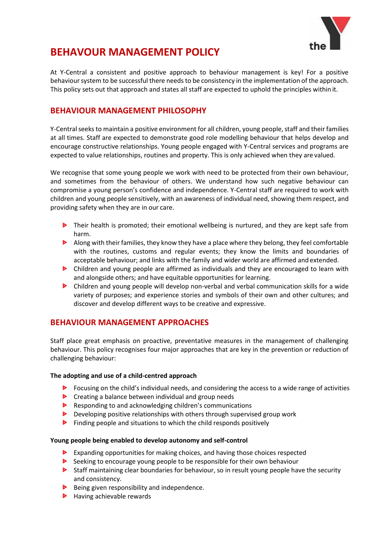

# **BEHAVOUR MANAGEMENT POLICY**

At Y-Central a consistent and positive approach to behaviour management is key! For a positive behaviour system to be successful there needs to be consistency in the implementation of the approach. This policy sets out that approach and states all staff are expected to uphold the principles within it.

### **BEHAVIOUR MANAGEMENT PHILOSOPHY**

Y-Central seeks to maintain a positive environment for all children, young people, staff and their families at all times. Staff are expected to demonstrate good role modelling behaviour that helps develop and encourage constructive relationships. Young people engaged with Y-Central services and programs are expected to value relationships, routines and property. This is only achieved when they are valued.

We recognise that some young people we work with need to be protected from their own behaviour, and sometimes from the behaviour of others. We understand how such negative behaviour can compromise a young person's confidence and independence. Y-Central staff are required to work with children and young people sensitively, with an awareness of individual need, showing them respect, and providing safety when they are in our care.

- **D** Their health is promoted; their emotional wellbeing is nurtured, and they are kept safe from harm.
- **Along with their families, they know they have a place where they belong, they feel comfortable** with the routines, customs and regular events; they know the limits and boundaries of acceptable behaviour; and links with the family and wider world are affirmed and extended.
- Children and young people are affirmed as individuals and they are encouraged to learn with and alongside others; and have equitable opportunities for learning.
- Children and young people will develop non-verbal and verbal communication skills for a wide variety of purposes; and experience stories and symbols of their own and other cultures; and discover and develop different ways to be creative and expressive.

### **BEHAVIOUR MANAGEMENT APPROACHES**

Staff place great emphasis on proactive, preventative measures in the management of challenging behaviour. This policy recognises four major approaches that are key in the prevention or reduction of challenging behaviour:

#### **The adopting and use of a child-centred approach**

- **F** Focusing on the child's individual needs, and considering the access to a wide range of activities
- **D** Creating a balance between individual and group needs
- **P** Responding to and acknowledging children's communications
- Developing positive relationships with others through supervised group work
- $\blacktriangleright$ Finding people and situations to which the child responds positively

#### **Young people being enabled to develop autonomy and self-control**

- **Expanding opportunities for making choices, and having those choices respected**
- Seeking to encourage young people to be responsible for their own behaviour
- **Staff maintaining clear boundaries for behaviour, so in result young people have the security** and consistency.
- Being given responsibility and independence.
- $\blacktriangleright$  Having achievable rewards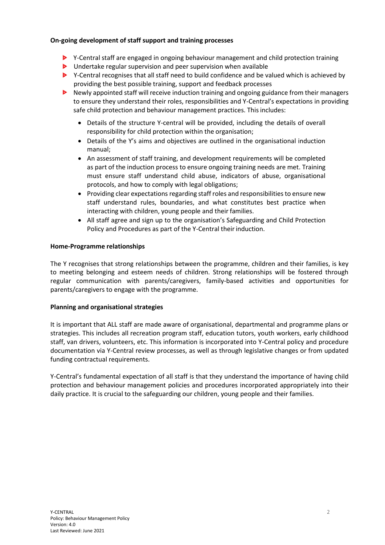#### **On-going development of staff support and training processes**

- **EX** Y-Central staff are engaged in ongoing behaviour management and child protection training
- D Undertake regular supervision and peer supervision when available
- ▶ Y-Central recognises that all staff need to build confidence and be valued which is achieved by providing the best possible training, support and feedback processes
- **Newly appointed staff will receive induction training and ongoing guidance from their managers** to ensure they understand their roles, responsibilities and Y-Central's expectations in providing safe child protection and behaviour management practices. This includes:
	- Details of the structure Y-central will be provided, including the details of overall responsibility for child protection within the organisation;
	- Details of the Y's aims and objectives are outlined in the organisational induction manual;
	- An assessment of staff training, and development requirements will be completed as part of the induction process to ensure ongoing training needs are met. Training must ensure staff understand child abuse, indicators of abuse, organisational protocols, and how to comply with legal obligations;
	- Providing clear expectations regarding staff roles and responsibilities to ensure new staff understand rules, boundaries, and what constitutes best practice when interacting with children, young people and their families.
	- All staff agree and sign up to the organisation's Safeguarding and Child Protection Policy and Procedures as part of the Y-Central their induction.

#### **Home-Programme relationships**

The Y recognises that strong relationships between the programme, children and their families, is key to meeting belonging and esteem needs of children. Strong relationships will be fostered through regular communication with parents/caregivers, family-based activities and opportunities for parents/caregivers to engage with the programme.

#### **Planning and organisational strategies**

It is important that ALL staff are made aware of organisational, departmental and programme plans or strategies. This includes all recreation program staff, education tutors, youth workers, early childhood staff, van drivers, volunteers, etc. This information is incorporated into Y-Central policy and procedure documentation via Y-Central review processes, as well as through legislative changes or from updated funding contractual requirements.

Y-Central's fundamental expectation of all staff is that they understand the importance of having child protection and behaviour management policies and procedures incorporated appropriately into their daily practice. It is crucial to the safeguarding our children, young people and their families.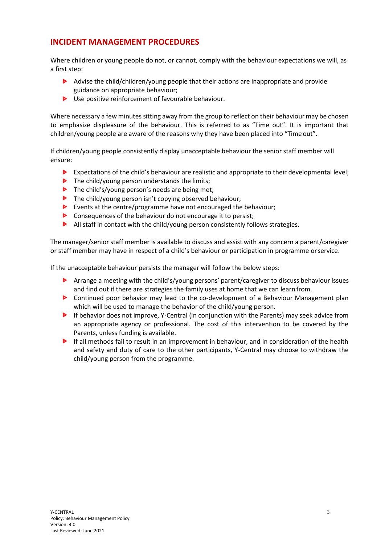### **INCIDENT MANAGEMENT PROCEDURES**

Where children or young people do not, or cannot, comply with the behaviour expectations we will, as a first step:

- Advise the child/children/young people that their actions are inappropriate and provide guidance on appropriate behaviour;
- ▶ Use positive reinforcement of favourable behaviour.

Where necessary a few minutes sitting away from the group to reflect on their behaviour may be chosen to emphasize displeasure of the behaviour. This is referred to as "Time out". It is important that children/young people are aware of the reasons why they have been placed into "Time out".

If children/young people consistently display unacceptable behaviour the senior staff member will ensure:

- Expectations of the child's behaviour are realistic and appropriate to their developmental level;
- $\triangleright$  The child/young person understands the limits;
- $\triangleright$  The child's/young person's needs are being met;
- **D** The child/young person isn't copying observed behaviour;
- $\blacktriangleright$ Events at the centre/programme have not encouraged the behaviour;
- $\triangleright$  Consequences of the behaviour do not encourage it to persist;
- $\blacktriangleright$  All staff in contact with the child/young person consistently follows strategies.

The manager/senior staff member is available to discuss and assist with any concern a parent/caregiver or staff member may have in respect of a child's behaviour or participation in programme orservice.

If the unacceptable behaviour persists the manager will follow the below steps:

- Arrange a meeting with the child's/young persons' parent/caregiver to discuss behaviour issues and find out if there are strategies the family uses at home that we can learn from.
- $\triangleright$ Continued poor behavior may lead to the co-development of a Behaviour Management plan which will be used to manage the behavior of the child/young person.
- If behavior does not improve, Y-Central (in conjunction with the Parents) may seek advice from an appropriate agency or professional. The cost of this intervention to be covered by the Parents, unless funding is available.
- **If all methods fail to result in an improvement in behaviour, and in consideration of the health** and safety and duty of care to the other participants, Y-Central may choose to withdraw the child/young person from the programme.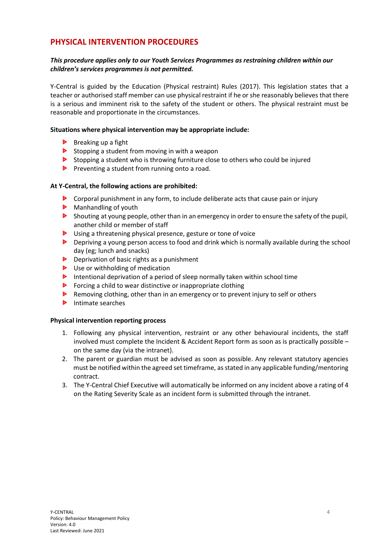### **PHYSICAL INTERVENTION PROCEDURES**

#### *This procedure applies only to our Youth Services Programmes as restraining children within our children's services programmes is not permitted.*

Y-Central is guided by the Education (Physical restraint) Rules (2017). This legislation states that a teacher or authorised staff member can use physical restraint if he orshe reasonably believes that there is a serious and imminent risk to the safety of the student or others. The physical restraint must be reasonable and proportionate in the circumstances.

#### **Situations where physical intervention may be appropriate include:**

- $\triangleright$  Breaking up a fight
- $\triangleright$  Stopping a student from moving in with a weapon
- Stopping a student who is throwing furniture close to others who could be injured
- **P** Preventing a student from running onto a road.

#### **At Y-Central, the following actions are prohibited:**

- Corporal punishment in any form, to include deliberate acts that cause pain or injury
- Manhandling of youth
- **Shouting at young people, other than in an emergency in order to ensure the safety of the pupil,** another child or member of staff
- ▶ Using a threatening physical presence, gesture or tone of voice
- **Depriving a young person access to food and drink which is normally available during the school** day (eg; lunch and snacks)
- $\triangleright$  Deprivation of basic rights as a punishment
- D Use or withholding of medication
- Intentional deprivation of a period of sleep normally taken within school time
- $\triangleright$  Forcing a child to wear distinctive or inappropriate clothing
- Removing clothing, other than in an emergency or to prevent injury to self or others
- $\triangleright$  Intimate searches

#### **Physical intervention reporting process**

- 1. Following any physical intervention, restraint or any other behavioural incidents, the staff involved must complete the Incident & Accident Report form as soon as is practically possible – on the same day (via the intranet).
- 2. The parent or guardian must be advised as soon as possible. Any relevant statutory agencies must be notified within the agreed set timeframe, asstated in any applicable funding/mentoring contract.
- 3. The Y-Central Chief Executive will automatically be informed on any incident above a rating of 4 on the Rating Severity Scale as an incident form is submitted through the intranet.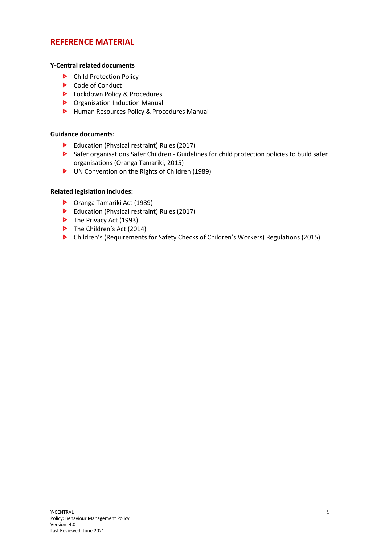### **REFERENCE MATERIAL**

#### **Y-Central related documents**

- **D** Child Protection Policy
- **D** Code of Conduct
- **D** Lockdown Policy & Procedures
- **D** Organisation Induction Manual
- **D** Human Resources Policy & Procedures Manual

#### **Guidance documents:**

- Education (Physical restraint) Rules (2017)
- Safer organisations Safer Children Guidelines for child protection policies to build safer organisations (Oranga Tamariki, 2015)
- UN Convention on the Rights of Children (1989)

#### **Related legislation includes:**

- Oranga Tamariki Act (1989)
- Education (Physical restraint) Rules (2017)
- $\triangleright$  The Privacy Act (1993)
- The Children's Act (2014)
- Children's (Requirements for Safety Checks of Children's Workers) Regulations (2015)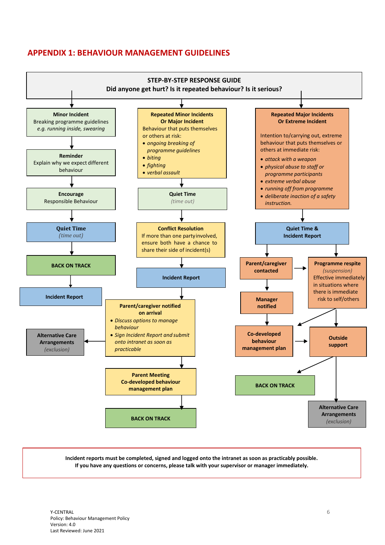### **APPENDIX 1: BEHAVIOUR MANAGEMENT GUIDELINES**



**Incident reports must be completed, signed and logged onto the intranet as soon as practicably possible. If you have any questions or concerns, please talk with your supervisor or manager immediately.**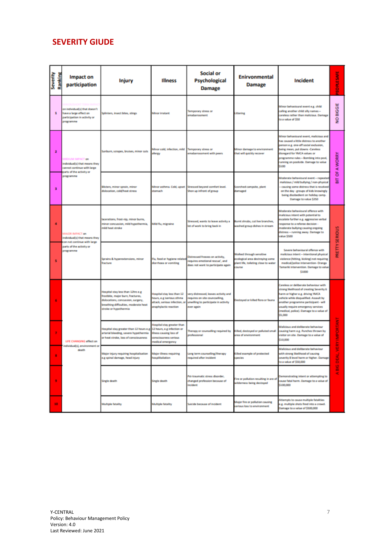# **SEVERITY GIUDE**

| Severity                | Ranking | Impact on<br>participation                                                                                                          | <b>Injury</b>                                                                                                                                                                   | <b>Illness</b>                                                                                                    | <b>Social or</b><br>Psychological<br><b>Damage</b>                                                                           | <b>Enirvonmental</b><br><b>Damage</b>                                                                             | <b>Incident</b>                                                                                                                                                                                                                                                                                              | EOPLESAFE                            |
|-------------------------|---------|-------------------------------------------------------------------------------------------------------------------------------------|---------------------------------------------------------------------------------------------------------------------------------------------------------------------------------|-------------------------------------------------------------------------------------------------------------------|------------------------------------------------------------------------------------------------------------------------------|-------------------------------------------------------------------------------------------------------------------|--------------------------------------------------------------------------------------------------------------------------------------------------------------------------------------------------------------------------------------------------------------------------------------------------------------|--------------------------------------|
| 1                       |         | on individual(s) that doesn't<br>have a large effect on<br>participation in activity or<br>anogramme                                | Splinters, insect bites, stings                                                                                                                                                 | Minor irratant                                                                                                    | Temporary stress or<br>emabarraument                                                                                         | Littering                                                                                                         | Minor behavioural event e.g. child<br>calling another child silly names-<br>careless rather than malicious. Damage<br>to a value of \$50                                                                                                                                                                     | NO BIGGIE                            |
| $\overline{\mathbf{z}}$ |         | MEDIUM IMPACT on<br>individual(s) that means they<br>cannot continue with large<br>parts of the activity or<br><b>Single Stripe</b> | Sunburn, scrapes, bruises, minor cuts                                                                                                                                           | Minor cold, infection, mild<br>allergy                                                                            | Temporary stress or<br>emabarrassment with peers                                                                             | Minor damage to environment<br>hat will quickly recover                                                           | Minor behavioural event, malicious and<br>has caused a little distress to another<br>person e.g. one-off social exclusion,<br>being mean, put downs -Careless<br>disregard for YMCA values or<br>programme rules - Bombing into pool,<br>running on poolside. Damage to value<br>\$100                       | OF A WORRY<br>늛                      |
| 3                       |         |                                                                                                                                     | Bisters, minor sprain, minor<br>dislocation, cold/heat stress                                                                                                                   | Minor asthma. Cold, upset<br>stornach                                                                             | Stressed beyond comfort level.<br>Shon up infront of group                                                                   | Scorched campuite, plant<br>damaged                                                                               | Moderate behavioural event - repeate<br>malicious / mild bullying / non-physical<br>causing some distress that is resolved<br>on the day - groups of kids knowingly<br>being disobedient on holiday camp.<br>Damage to value \$250                                                                           |                                      |
| 4                       |         | <b>MAJOR IMPACT on</b><br>individual(s) that means they<br>con not continue with large<br>parts of the activity or<br>programme     | acerations, frost-nip, minor burns,<br>minor concussion, mild hypothermia,<br>mild heat stroke                                                                                  | Mild flu, migraine                                                                                                | Stressed, wants to leave activity a<br>lot of work to bring back in                                                          | Burnt shrubs, cut live branches,<br>washed group dishes in stream                                                 | Moderate behavioural offence with<br>nalicious intent with potential to<br>scalate further e.g. aggressive verbal<br>response to a referee decision -<br>moderate bullying causing origoing<br>distress - running away. Damage to<br>value \$500                                                             | PRETTY SERIOUS                       |
| ۹                       |         |                                                                                                                                     | Sprains & hyperextensions, minor<br>fracture                                                                                                                                    | Flu, food or hygiene related<br>domboss or vomiting                                                               | Distressed freezes on activity,<br>requires emotional rescue', and<br>does not want to participate again                     | Walked through sensitive<br>ecological area destroying some<br>lant life, toileting close to water<br><b>DUTH</b> | Severe behavioural offence with<br>malicious intent - intentional physical<br>violence (hitting, kicking) not requiring<br>medical/police intervention- Oranga<br>Tamariki intervention. Damage to value<br>\$1000                                                                                           |                                      |
| 6                       |         | LIFE CHANGING effect on<br>individual(s), environment or<br>death                                                                   | Hospital stay less than 12hrs e.g.<br>frostbite, major burn, fractures,<br>dislocations, concussion, surgery,<br>breathing difficulties, moderate heat<br>stroke or hypothermia | Hospital stay less than 12<br>hours, e.g iserious sthma<br>attack, serious infection, or<br>anaphylactic reaction | very distressed, leaves activity and<br>requires on site councselling,<br>unwilling to participate in activity<br>ever again | Jestoyed or killed flora or fauna                                                                                 | Careless or deliberate behaviour with<br>strong likelihood of creating Severity 6<br>harm or higher e.g. driving YMCA<br>vehicle while disqualified. Assault by<br><b>Ilw - thaqisities emmagent participant</b><br>usually require emergency services<br>(medical, police). Damage to a value of<br>\$5,000 |                                      |
|                         |         |                                                                                                                                     | Hospital stay greater than 12 hours e.g. 12 hours, e.g infection or<br>arterial bleeding, severe hypothermia<br>or heat stroke, loss of consciousness                           | Hospital stay greater than<br><b>Illness causing loss of</b><br><b>CONTROLLATION</b><br>nedical emergency         | Therapy or counselling required by<br>professional                                                                           | rea of environment                                                                                                | Malicious and deliberate behaviour<br>Killed, destoyed or polluted small causing harm e.g. Punches thrown by<br>visitor on site. Damage to a value of<br>\$10,000                                                                                                                                            | <b>JERY IMPORTANT</b><br>õ<br>볾<br>œ |
|                         |         |                                                                                                                                     | Major injury requiring hospitalisation<br>e.g spinal damage, head injury                                                                                                        | Major illness requiring<br>hospilitaliation                                                                       | Long term counselling/therapy<br>required after incident                                                                     | Killed example of protected<br>species                                                                            | Malicious and deliberate behaviour<br>vith strong likelihood of causing<br>severity & level harm or higher. Damage<br>to a value of \$50,000                                                                                                                                                                 |                                      |
| ø.                      |         |                                                                                                                                     | Single death                                                                                                                                                                    | Single death                                                                                                      | Put-traumatic stress disorder,<br>changed profession because of<br>incident                                                  | Fire or pollution resulting in are of<br>wilderness being destoyed                                                | Demonstrating intent or attempting to<br>cause fatal harm. Damage to a value of<br>\$100,000                                                                                                                                                                                                                 |                                      |
| 10                      |         |                                                                                                                                     | <b>Multiple fatality</b>                                                                                                                                                        | <b>Multiple fatality</b>                                                                                          | Suicide because of incident                                                                                                  | Major fire or pollution causing<br>serious loss to environment                                                    | Attempts to cause multiple fatalities<br>e.g. multiple shots fired into a crowd.<br>Damage to a value of \$500,000                                                                                                                                                                                           |                                      |